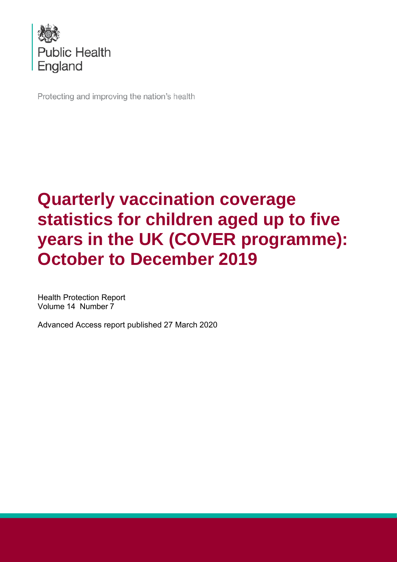

Protecting and improving the nation's health

# **Quarterly vaccination coverage statistics for children aged up to five years in the UK (COVER programme): October to December 2019**

Health Protection Report Volume 14 Number 7

Advanced Access report published 27 March 2020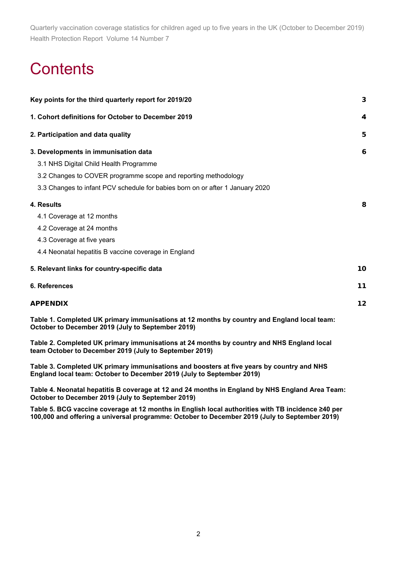# **Contents**

| Key points for the third quarterly report for 2019/20                                                                                            | 3  |
|--------------------------------------------------------------------------------------------------------------------------------------------------|----|
| 1. Cohort definitions for October to December 2019                                                                                               | 4  |
| 2. Participation and data quality                                                                                                                | 5  |
| 3. Developments in immunisation data                                                                                                             | 6  |
| 3.1 NHS Digital Child Health Programme                                                                                                           |    |
| 3.2 Changes to COVER programme scope and reporting methodology                                                                                   |    |
| 3.3 Changes to infant PCV schedule for babies born on or after 1 January 2020                                                                    |    |
| 4. Results                                                                                                                                       | 8  |
| 4.1 Coverage at 12 months                                                                                                                        |    |
| 4.2 Coverage at 24 months                                                                                                                        |    |
| 4.3 Coverage at five years                                                                                                                       |    |
| 4.4 Neonatal hepatitis B vaccine coverage in England                                                                                             |    |
| 5. Relevant links for country-specific data                                                                                                      | 10 |
| 6. References                                                                                                                                    | 11 |
| <b>APPENDIX</b>                                                                                                                                  | 12 |
| Table 1. Completed UK primary immunisations at 12 months by country and England local team:<br>October to December 2019 (July to September 2019) |    |

**Table 2. Completed UK primary immunisations at 24 months by country and NHS England local team October to December 2019 (July to September 2019)**

**Table 3. Completed UK primary immunisations and boosters at five years by country and NHS England local team: October to December 2019 (July to September 2019)**

**Table 4. Neonatal hepatitis B coverage at 12 and 24 months in England by NHS England Area Team: October to December 2019 (July to September 2019)**

**Table 5. BCG vaccine coverage at 12 months in English local authorities with TB incidence ≥40 per 100,000 and offering a universal programme: October to December 2019 (July to September 2019)**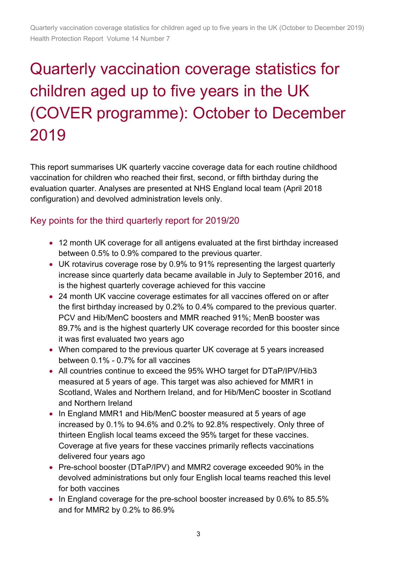# Quarterly vaccination coverage statistics for children aged up to five years in the UK (COVER programme): October to December 2019

This report summarises UK quarterly vaccine coverage data for each routine childhood vaccination for children who reached their first, second, or fifth birthday during the evaluation quarter. Analyses are presented at NHS England local team (April 2018 configuration) and devolved administration levels only.

### Key points for the third quarterly report for 2019/20

- 12 month UK coverage for all antigens evaluated at the first birthday increased between 0.5% to 0.9% compared to the previous quarter.
- UK rotavirus coverage rose by 0.9% to 91% representing the largest quarterly increase since quarterly data became available in July to September 2016, and is the highest quarterly coverage achieved for this vaccine
- 24 month UK vaccine coverage estimates for all vaccines offered on or after the first birthday increased by 0.2% to 0.4% compared to the previous quarter. PCV and Hib/MenC boosters and MMR reached 91%; MenB booster was 89.7% and is the highest quarterly UK coverage recorded for this booster since it was first evaluated two years ago
- When compared to the previous quarter UK coverage at 5 years increased between 0.1% - 0.7% for all vaccines
- All countries continue to exceed the 95% WHO target for DTaP/IPV/Hib3 measured at 5 years of age. This target was also achieved for MMR1 in Scotland, Wales and Northern Ireland, and for Hib/MenC booster in Scotland and Northern Ireland
- In England MMR1 and Hib/MenC booster measured at 5 years of age increased by 0.1% to 94.6% and 0.2% to 92.8% respectively. Only three of thirteen English local teams exceed the 95% target for these vaccines. Coverage at five years for these vaccines primarily reflects vaccinations delivered four years ago
- Pre-school booster (DTaP/IPV) and MMR2 coverage exceeded 90% in the devolved administrations but only four English local teams reached this level for both vaccines
- In England coverage for the pre-school booster increased by 0.6% to 85.5% and for MMR2 by 0.2% to 86.9%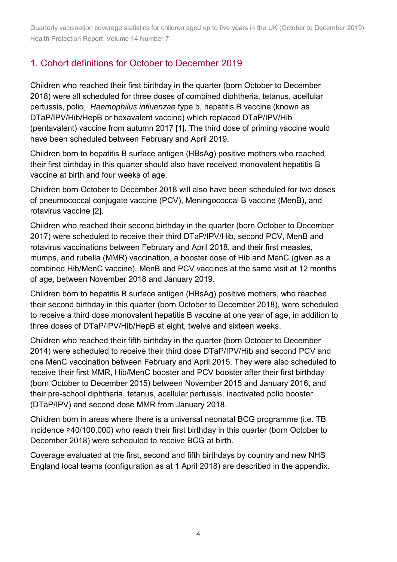## 1. Cohort definitions for October to December 2019

Children who reached their first birthday in the quarter (born October to December 2018) were all scheduled for three doses of combined diphtheria, tetanus, acellular pertussis, polio, *Haemophilus influenzae* type b, hepatitis B vaccine (known as DTaP/IPV/Hib/HepB or hexavalent vaccine) which replaced DTaP/IPV/Hib (pentavalent) vaccine from autumn 2017 [1]. The third dose of priming vaccine would have been scheduled between February and April 2019.

Children born to hepatitis B surface antigen (HBsAg) positive mothers who reached their first birthday in this quarter should also have received monovalent hepatitis B vaccine at birth and four weeks of age.

Children born October to December 2018 will also have been scheduled for two doses of pneumococcal conjugate vaccine (PCV), Meningococcal B vaccine (MenB), and rotavirus vaccine [2].

Children who reached their second birthday in the quarter (born October to December 2017) were scheduled to receive their third DTaP/IPV/Hib, second PCV, MenB and rotavirus vaccinations between February and April 2018, and their first measles, mumps, and rubella (MMR) vaccination, a booster dose of Hib and MenC (given as a combined Hib/MenC vaccine), MenB and PCV vaccines at the same visit at 12 months of age, between November 2018 and January 2019.

Children born to hepatitis B surface antigen (HBsAg) positive mothers, who reached their second birthday in this quarter (born October to December 2018), were scheduled to receive a third dose monovalent hepatitis B vaccine at one year of age, in addition to three doses of DTaP/IPV/Hib/HepB at eight, twelve and sixteen weeks.

Children who reached their fifth birthday in the quarter (born October to December 2014) were scheduled to receive their third dose DTaP/IPV/Hib and second PCV and one MenC vaccination between February and April 2015. They were also scheduled to receive their first MMR, Hib/MenC booster and PCV booster after their first birthday (born October to December 2015) between November 2015 and January 2016, and their pre-school diphtheria, tetanus, acellular pertussis, inactivated polio booster (DTaP/IPV) and second dose MMR from January 2018.

Children born in areas where there is a universal neonatal BCG programme (i.e. TB incidence ≥40/100,000) who reach their first birthday in this quarter (born October to December 2018) were scheduled to receive BCG at birth.

Coverage evaluated at the first, second and fifth birthdays by country and new NHS England local teams (configuration as at 1 April 2018) are described in the appendix.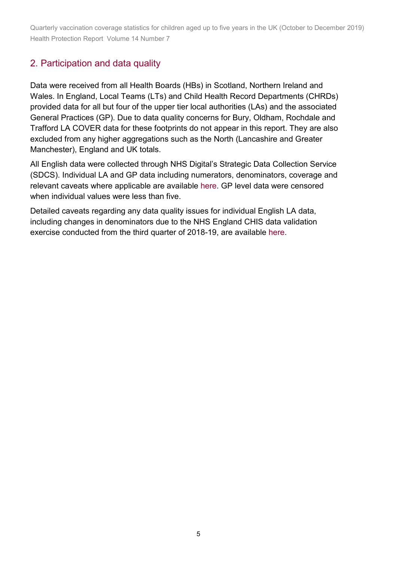## 2. Participation and data quality

Data were received from all Health Boards (HBs) in Scotland, Northern Ireland and Wales. In England, Local Teams (LTs) and Child Health Record Departments (CHRDs) provided data for all but four of the upper tier local authorities (LAs) and the associated General Practices (GP). Due to data quality concerns for Bury, Oldham, Rochdale and Trafford LA COVER data for these footprints do not appear in this report. They are also excluded from any higher aggregations such as the North (Lancashire and Greater Manchester), England and UK totals.

All English data were collected through NHS Digital's Strategic Data Collection Service (SDCS). Individual LA and GP data including numerators, denominators, coverage and relevant caveats where applicable are available [here.](https://www.gov.uk/government/statistics/cover-of-vaccination-evaluated-rapidly-cover-programme-2019-to-2020-quarterly-data) GP level data were censored when individual values were less than five.

Detailed caveats regarding any data quality issues for individual English LA data, including changes in denominators due to the NHS England CHIS data validation exercise conducted from the third quarter of 2018-19, are available [here.](https://www.gov.uk/government/statistics/cover-of-vaccination-evaluated-rapidly-cover-programme-2019-to-2020-quarterly-data)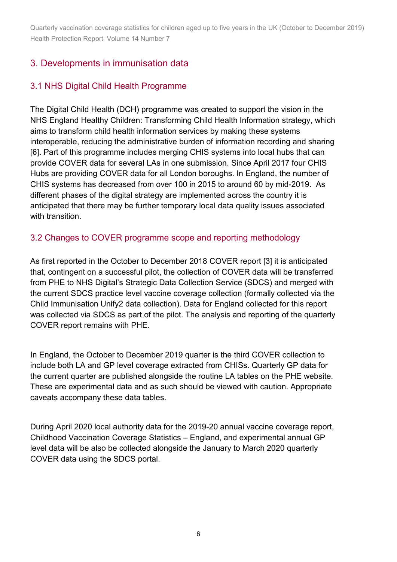## 3. Developments in immunisation data

### 3.1 NHS Digital Child Health Programme

The Digital Child Health (DCH) programme was created to support the vision in the NHS England Healthy Children: Transforming Child Health Information strategy, which aims to transform child health information services by making these systems interoperable, reducing the administrative burden of information recording and sharing [6]. Part of this programme includes merging CHIS systems into local hubs that can provide COVER data for several LAs in one submission. Since April 2017 four CHIS Hubs are providing COVER data for all London boroughs. In England, the number of CHIS systems has decreased from over 100 in 2015 to around 60 by mid-2019. As different phases of the digital strategy are implemented across the country it is anticipated that there may be further temporary local data quality issues associated with transition.

#### 3.2 Changes to COVER programme scope and reporting methodology

As first reported in the October to December 2018 COVER report [3] it is anticipated that, contingent on a successful pilot, the collection of COVER data will be transferred from PHE to NHS Digital's Strategic Data Collection Service (SDCS) and merged with the current SDCS practice level vaccine coverage collection (formally collected via the Child Immunisation Unify2 data collection). Data for England collected for this report was collected via SDCS as part of the pilot. The analysis and reporting of the quarterly COVER report remains with PHE.

In England, the October to December 2019 quarter is the third COVER collection to include both LA and GP level coverage extracted from CHISs. Quarterly GP data for the current quarter are published alongside the routine LA tables on the PHE website. These are experimental data and as such should be viewed with caution. Appropriate caveats accompany these data tables.

During April 2020 local authority data for the 2019-20 annual vaccine coverage report, Childhood Vaccination Coverage Statistics – England, and experimental annual GP level data will be also be collected alongside the January to March 2020 quarterly COVER data using the SDCS portal.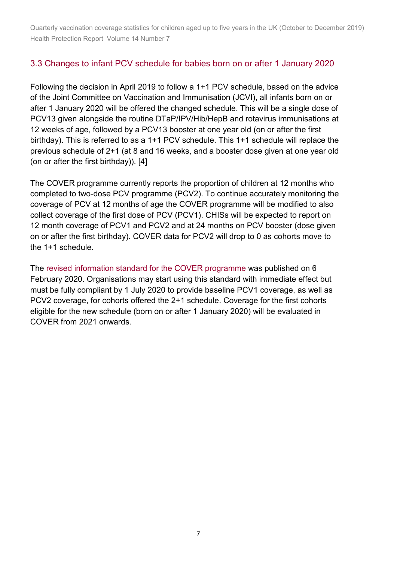### 3.3 Changes to infant PCV schedule for babies born on or after 1 January 2020

Following the decision in April 2019 to follow a 1+1 PCV schedule, based on the advice of the Joint Committee on Vaccination and Immunisation (JCVI), all infants born on or after 1 January 2020 will be offered the changed schedule. This will be a single dose of PCV13 given alongside the routine DTaP/IPV/Hib/HepB and rotavirus immunisations at 12 weeks of age, followed by a PCV13 booster at one year old (on or after the first birthday). This is referred to as a 1+1 PCV schedule. This 1+1 schedule will replace the previous schedule of 2+1 (at 8 and 16 weeks, and a booster dose given at one year old (on or after the first birthday)). [4]

The COVER programme currently reports the proportion of children at 12 months who completed to two-dose PCV programme (PCV2). To continue accurately monitoring the coverage of PCV at 12 months of age the COVER programme will be modified to also collect coverage of the first dose of PCV (PCV1). CHISs will be expected to report on 12 month coverage of PCV1 and PCV2 and at 24 months on PCV booster (dose given on or after the first birthday). COVER data for PCV2 will drop to 0 as cohorts move to the 1+1 schedule.

The [revised information standard for the COVER programme](https://digital.nhs.uk/data-and-information/information-standards/information-standards-and-data-collections-including-extractions/publications-and-notifications/standards-and-collections/dcb0089-cover-of-vaccination-evaluated-rapidly-cover) was published on 6 February 2020. Organisations may start using this standard with immediate effect but must be fully compliant by 1 July 2020 to provide baseline PCV1 coverage, as well as PCV2 coverage, for cohorts offered the 2+1 schedule. Coverage for the first cohorts eligible for the new schedule (born on or after 1 January 2020) will be evaluated in COVER from 2021 onwards.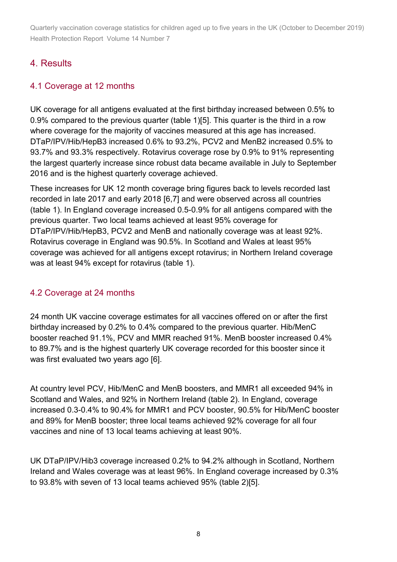## 4. Results

#### 4.1 Coverage at 12 months

UK coverage for all antigens evaluated at the first birthday increased between 0.5% to 0.9% compared to the previous quarter (table 1)[5]. This quarter is the third in a row where coverage for the majority of vaccines measured at this age has increased. DTaP/IPV/Hib/HepB3 increased 0.6% to 93.2%, PCV2 and MenB2 increased 0.5% to 93.7% and 93.3% respectively. Rotavirus coverage rose by 0.9% to 91% representing the largest quarterly increase since robust data became available in July to September 2016 and is the highest quarterly coverage achieved.

These increases for UK 12 month coverage bring figures back to levels recorded last recorded in late 2017 and early 2018 [6,7] and were observed across all countries (table 1). In England coverage increased 0.5-0.9% for all antigens compared with the previous quarter. Two local teams achieved at least 95% coverage for DTaP/IPV/Hib/HepB3, PCV2 and MenB and nationally coverage was at least 92%. Rotavirus coverage in England was 90.5%. In Scotland and Wales at least 95% coverage was achieved for all antigens except rotavirus; in Northern Ireland coverage was at least 94% except for rotavirus (table 1).

#### 4.2 Coverage at 24 months

24 month UK vaccine coverage estimates for all vaccines offered on or after the first birthday increased by 0.2% to 0.4% compared to the previous quarter. Hib/MenC booster reached 91.1%, PCV and MMR reached 91%. MenB booster increased 0.4% to 89.7% and is the highest quarterly UK coverage recorded for this booster since it was first evaluated two years ago [6].

At country level PCV, Hib/MenC and MenB boosters, and MMR1 all exceeded 94% in Scotland and Wales, and 92% in Northern Ireland (table 2). In England, coverage increased 0.3-0.4% to 90.4% for MMR1 and PCV booster, 90.5% for Hib/MenC booster and 89% for MenB booster; three local teams achieved 92% coverage for all four vaccines and nine of 13 local teams achieving at least 90%.

UK DTaP/IPV/Hib3 coverage increased 0.2% to 94.2% although in Scotland, Northern Ireland and Wales coverage was at least 96%. In England coverage increased by 0.3% to 93.8% with seven of 13 local teams achieved 95% (table 2)[5].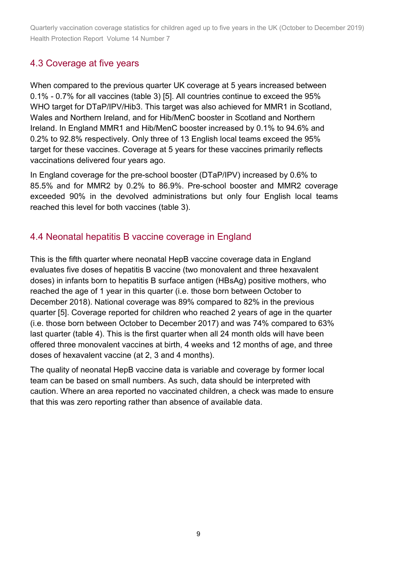## 4.3 Coverage at five years

When compared to the previous quarter UK coverage at 5 years increased between 0.1% - 0.7% for all vaccines (table 3) [5]. All countries continue to exceed the 95% WHO target for DTaP/IPV/Hib3. This target was also achieved for MMR1 in Scotland, Wales and Northern Ireland, and for Hib/MenC booster in Scotland and Northern Ireland. In England MMR1 and Hib/MenC booster increased by 0.1% to 94.6% and 0.2% to 92.8% respectively. Only three of 13 English local teams exceed the 95% target for these vaccines. Coverage at 5 years for these vaccines primarily reflects vaccinations delivered four years ago.

In England coverage for the pre-school booster (DTaP/IPV) increased by 0.6% to 85.5% and for MMR2 by 0.2% to 86.9%. Pre-school booster and MMR2 coverage exceeded 90% in the devolved administrations but only four English local teams reached this level for both vaccines (table 3).

### 4.4 Neonatal hepatitis B vaccine coverage in England

This is the fifth quarter where neonatal HepB vaccine coverage data in England evaluates five doses of hepatitis B vaccine (two monovalent and three hexavalent doses) in infants born to hepatitis B surface antigen (HBsAg) positive mothers, who reached the age of 1 year in this quarter (i.e. those born between October to December 2018). National coverage was 89% compared to 82% in the previous quarter [5]. Coverage reported for children who reached 2 years of age in the quarter (i.e. those born between October to December 2017) and was 74% compared to 63% last quarter (table 4). This is the first quarter when all 24 month olds will have been offered three monovalent vaccines at birth, 4 weeks and 12 months of age, and three doses of hexavalent vaccine (at 2, 3 and 4 months).

The quality of neonatal HepB vaccine data is variable and coverage by former local team can be based on small numbers. As such, data should be interpreted with caution. Where an area reported no vaccinated children, a check was made to ensure that this was zero reporting rather than absence of available data.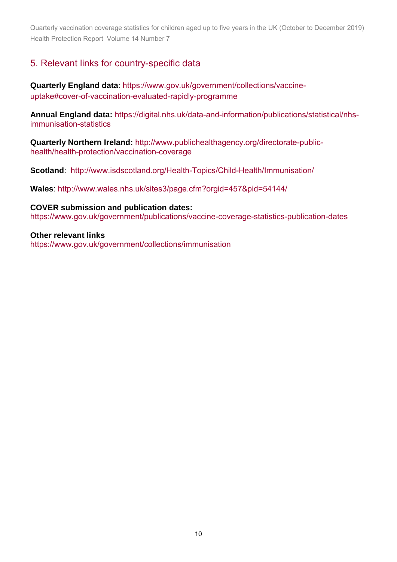### 5. Relevant links for country-specific data

**Quarterly England data**: [https://www.gov.uk/government/collections/vaccine](https://www.gov.uk/government/collections/vaccine-uptake%23cover-of-vaccination-evaluated-rapidly-programme)[uptake#cover-of-vaccination-evaluated-rapidly-programme](https://www.gov.uk/government/collections/vaccine-uptake%23cover-of-vaccination-evaluated-rapidly-programme)

**Annual England data:** [https://digital.nhs.uk/data-and-information/publications/statistical/nhs](https://digital.nhs.uk/data-and-information/publications/statistical/nhs-immunisation-statistics)[immunisation-statistics](https://digital.nhs.uk/data-and-information/publications/statistical/nhs-immunisation-statistics)

**Quarterly Northern Ireland:** [http://www.publichealthagency.org/directorate-public](http://www.publichealthagency.org/directorate-public-health/health-protection/vaccination-coverage)[health/health-protection/vaccination-coverage](http://www.publichealthagency.org/directorate-public-health/health-protection/vaccination-coverage) 

**Scotland**: <http://www.isdscotland.org/Health-Topics/Child-Health/Immunisation/>

**Wales**: [http://www.wales.nhs.uk/sites3/page.cfm?orgid=457&pid=54144/](http://www.wales.nhs.uk/sites3/page.cfm?orgid=457&pid=54144) 

**COVER submission and publication dates:** <https://www.gov.uk/government/publications/vaccine-coverage-statistics-publication-dates>

**Other relevant links**  <https://www.gov.uk/government/collections/immunisation>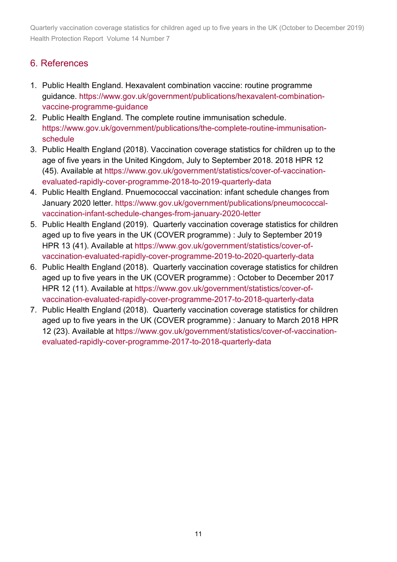## 6. References

- 1. Public Health England. Hexavalent combination vaccine: routine programme guidance. [https://www.gov.uk/government/publications/hexavalent-combination](https://www.gov.uk/government/publications/hexavalent-combination-vaccine-programme-guidance)[vaccine-programme-guidance](https://www.gov.uk/government/publications/hexavalent-combination-vaccine-programme-guidance)
- 2. Public Health England. The complete routine immunisation schedule. [https://www.gov.uk/government/publications/the-complete-routine-immunisation](https://www.gov.uk/government/publications/the-complete-routine-immunisation-schedule)[schedule](https://www.gov.uk/government/publications/the-complete-routine-immunisation-schedule)
- 3. Public Health England (2018). Vaccination coverage statistics for children up to the age of five years in the United Kingdom, July to September 2018. 2018 HPR 12 (45). Available at [https://www.gov.uk/government/statistics/cover-of-vaccination](https://www.gov.uk/government/statistics/cover-of-vaccination-evaluated-rapidly-cover-programme-2018-to-2019-quarterly-data)[evaluated-rapidly-cover-programme-2018-to-2019-quarterly-data](https://www.gov.uk/government/statistics/cover-of-vaccination-evaluated-rapidly-cover-programme-2018-to-2019-quarterly-data)
- 4. Public Health England. Pnuemococcal vaccination: infant schedule changes from January 2020 letter. [https://www.gov.uk/government/publications/pneumococcal](https://www.gov.uk/government/publications/pneumococcal-vaccination-infant-schedule-changes-from-january-2020-letter)[vaccination-infant-schedule-changes-from-january-2020-letter](https://www.gov.uk/government/publications/pneumococcal-vaccination-infant-schedule-changes-from-january-2020-letter)
- 5. Public Health England (2019). Quarterly vaccination coverage statistics for children aged up to five years in the UK (COVER programme) : July to September 2019 HPR 13 (41). Available at [https://www.gov.uk/government/statistics/cover-of](https://www.gov.uk/government/statistics/cover-of-vaccination-evaluated-rapidly-cover-programme-2019-to-2020-quarterly-data)[vaccination-evaluated-rapidly-cover-programme-2019-to-2020-quarterly-data](https://www.gov.uk/government/statistics/cover-of-vaccination-evaluated-rapidly-cover-programme-2019-to-2020-quarterly-data)
- 6. Public Health England (2018). Quarterly vaccination coverage statistics for children aged up to five years in the UK (COVER programme) : October to December 2017 HPR 12 (11). Available at [https://www.gov.uk/government/statistics/cover-of](https://www.gov.uk/government/statistics/cover-of-vaccination-evaluated-rapidly-cover-programme-2017-to-2018-quarterly-data)[vaccination-evaluated-rapidly-cover-programme-2017-to-2018-quarterly-data](https://www.gov.uk/government/statistics/cover-of-vaccination-evaluated-rapidly-cover-programme-2017-to-2018-quarterly-data)
- 7. Public Health England (2018). Quarterly vaccination coverage statistics for children aged up to five years in the UK (COVER programme) : January to March 2018 HPR 12 (23). Available at [https://www.gov.uk/government/statistics/cover-of-vaccination](https://www.gov.uk/government/statistics/cover-of-vaccination-evaluated-rapidly-cover-programme-2017-to-2018-quarterly-data)[evaluated-rapidly-cover-programme-2017-to-2018-quarterly-data](https://www.gov.uk/government/statistics/cover-of-vaccination-evaluated-rapidly-cover-programme-2017-to-2018-quarterly-data)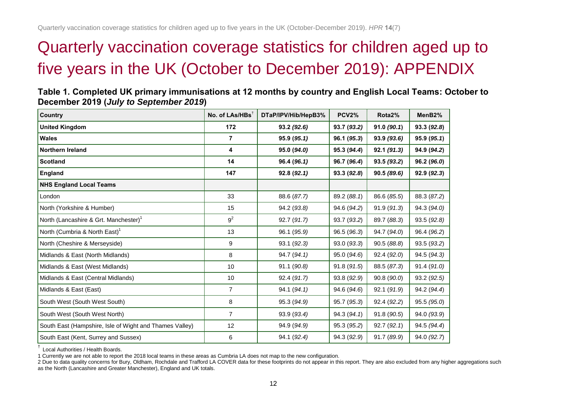# Quarterly vaccination coverage statistics for children aged up to five years in the UK (October to December 2019): APPENDIX

| Table 1. Completed UK primary immunisations at 12 months by country and English Local Teams: October to |
|---------------------------------------------------------------------------------------------------------|
| December 2019 (July to September 2019)                                                                  |

| Country                                                 | No. of LAs/HBs <sup>+</sup> | DTaP/IPV/Hib/HepB3% | <b>PCV2%</b> | Rota2%      | MenB <sub>2</sub> % |
|---------------------------------------------------------|-----------------------------|---------------------|--------------|-------------|---------------------|
| <b>United Kingdom</b>                                   | 172                         | 93.2 (92.6)         | 93.7 (93.2)  | 91.0(90.1)  | 93.3(92.8)          |
| <b>Wales</b>                                            | 7                           | 95.9(95.1)          | 96.1 (95.3)  | 93.9(93.6)  | 95.9(95.1)          |
| Northern Ireland                                        | 4                           | 95.0 (94.0)         | 95.3 (94.4)  | 92.1(91.3)  | 94.9 (94.2)         |
| <b>Scotland</b>                                         | 14                          | 96.4 (96.1)         | 96.7 (96.4)  | 93.5 (93.2) | 96.2 (96.0)         |
| England                                                 | 147                         | 92.8(92.1)          | 93.3(92.8)   | 90.5(89.6)  | 92.9 (92.3)         |
| <b>NHS England Local Teams</b>                          |                             |                     |              |             |                     |
| London                                                  | 33                          | 88.6 (87.7)         | 89.2 (88.1)  | 86.6 (85.5) | 88.3 (87.2)         |
| North (Yorkshire & Humber)                              | 15                          | 94.2 (93.8)         | 94.6 (94.2)  | 91.9(91.3)  | 94.3 (94.0)         |
| North (Lancashire & Grt. Manchester) <sup>1</sup>       | 9 <sup>2</sup>              | 92.7 (91.7)         | 93.7 (93.2)  | 89.7 (88.3) | 93.5(92.8)          |
| North (Cumbria & North East) <sup>1</sup>               | 13                          | 96.1 (95.9)         | 96.5 (96.3)  | 94.7 (94.0) | 96.4 (96.2)         |
| North (Cheshire & Merseyside)                           | 9                           | 93.1 (92.3)         | 93.0 (93.3)  | 90.5(88.8)  | 93.5 (93.2)         |
| Midlands & East (North Midlands)                        | 8                           | 94.7 (94.1)         | 95.0 (94.6)  | 92.4(92.0)  | 94.5 (94.3)         |
| Midlands & East (West Midlands)                         | 10                          | 91.1 (90.8)         | 91.8(91.5)   | 88.5 (87.3) | 91.4(91.0)          |
| Midlands & East (Central Midlands)                      | 10                          | 92.4 (91.7)         | 93.8 (92.9)  | 90.8 (90.0) | 93.2 (92.5)         |
| Midlands & East (East)                                  | $\overline{7}$              | 94.1 (94.1)         | 94.6 (94.6)  | 92.1 (91.9) | 94.2 (94.4)         |
| South West (South West South)                           | 8                           | 95.3 (94.9)         | 95.7 (95.3)  | 92.4 (92.2) | 95.5(95.0)          |
| South West (South West North)                           | $\overline{7}$              | 93.9 (93.4)         | 94.3 (94.1)  | 91.8 (90.5) | 94.0 (93.9)         |
| South East (Hampshire, Isle of Wight and Thames Valley) | 12                          | 94.9 (94.9)         | 95.3 (95.2)  | 92.7(92.1)  | 94.5 (94.4)         |
| South East (Kent, Surrey and Sussex)                    | 6                           | 94.1 (92.4)         | 94.3 (92.9)  | 91.7 (89.9) | 94.0 (92.7)         |

† Local Authorities / Health Boards.

1 Currently we are not able to report the 2018 local teams in these areas as Cumbria LA does not map to the new configuration.

2 Due to data quality concerns for Bury, Oldham, Rochdale and Trafford LA COVER data for these footprints do not appear in this report. They are also excluded from any higher aggregations such as the North (Lancashire and Greater Manchester), England and UK totals.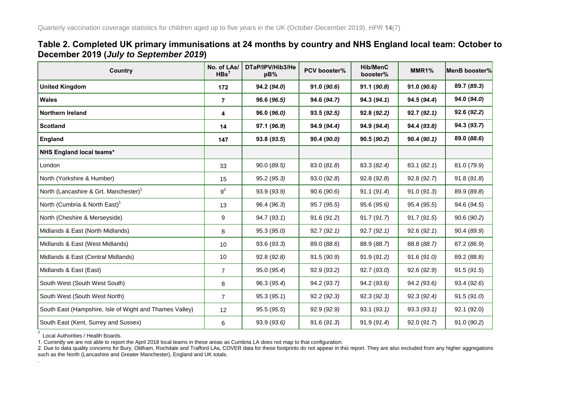#### **Table 2. Completed UK primary immunisations at 24 months by country and NHS England local team: October to December 2019 (***July to September 2019***)**

| Country                                                 | No. of LAs/<br>$HBs^{\dagger}$ | DTaP/IPV/Hib3/He<br>pB% | PCV booster% | <b>Hib/MenC</b><br>booster% | MMR1%       | MenB booster% |
|---------------------------------------------------------|--------------------------------|-------------------------|--------------|-----------------------------|-------------|---------------|
| <b>United Kingdom</b>                                   | 172                            | 94.2 (94.0)             | 91.0(90.6)   | 91.1 (90.8)                 | 91.0 (90.6) | 89.7 (89.3)   |
| <b>Wales</b>                                            | $\overline{7}$                 | 96.6 (96.5)             | 94.6 (94.7)  | 94.3 (94.1)                 | 94.5 (94.4) | 94.0 (94.0)   |
| <b>Northern Ireland</b>                                 | 4                              | 96.0 (96.0)             | 93.5(92.5)   | 92.8 (92.2)                 | 92.7(92.1)  | 92.6 (92.2)   |
| <b>Scotland</b>                                         | 14                             | 97.1 (96.9)             | 94.9 (94.4)  | 94.9 (94.4)                 | 94.4 (93.8) | 94.3 (93.7)   |
| England                                                 | 147                            | 93.8 (93.5)             | 90.4 (90.0)  | 90.5 (90.2)                 | 90.4(90.1)  | 89.0 (88.6)   |
| <b>NHS England local teams*</b>                         |                                |                         |              |                             |             |               |
| London                                                  | 33                             | 90.0 (89.5)             | 83.0 (81.8)  | 83.3 (82.4)                 | 83.1(82.1)  | 81.0 (79.9)   |
| North (Yorkshire & Humber)                              | 15                             | 95.2(95.3)              | 93.0(92.8)   | 92.8(92.8)                  | 92.8(92.7)  | 91.8(91.8)    |
| North (Lancashire & Grt. Manchester) <sup>1</sup>       | 9 <sup>2</sup>                 | 93.9 (93.9)             | 90.6(90.6)   | 91.1(91.4)                  | 91.0(91.3)  | 89.9 (89.8)   |
| North (Cumbria & North East) <sup>1</sup>               | 13                             | 96.4 (96.3)             | 95.7 (95.5)  | 95.6 (95.6)                 | 95.4 (95.5) | 94.6 (94.5)   |
| North (Cheshire & Merseyside)                           | 9                              | 94.7(93.1)              | 91.6(91.2)   | 91.7(91.7)                  | 91.7 (91.5) | 90.6 (90.2)   |
| Midlands & East (North Midlands)                        | 8                              | 95.3 (95.0)             | 92.7(92.1)   | 92.7(92.1)                  | 92.6(92.1)  | 90.4 (89.9)   |
| Midlands & East (West Midlands)                         | 10                             | 93.6 (93.3)             | 89.0 (88.6)  | 88.9 (88.7)                 | 88.8 (88.7) | 87.2 (86.9)   |
| Midlands & East (Central Midlands)                      | 10                             | 92.8 (92.8)             | 91.5 (90.9)  | 91.9 (91.2)                 | 91.6(91.0)  | 89.2 (88.8)   |
| Midlands & East (East)                                  | $\overline{7}$                 | 95.0 (95.4)             | 92.9(93.2)   | 92.7(93.0)                  | 92.6(92.9)  | 91.5(91.5)    |
| South West (South West South)                           | 8                              | 96.3 (95.4)             | 94.2 (93.7)  | 94.2 (93.6)                 | 94.2 (93.6) | 93.4(92.6)    |
| South West (South West North)                           | $\overline{7}$                 | 95.3(95.1)              | 92.2(92.3)   | 92.3 (92.3)                 | 92.3 (92.4) | 91.5(91.0)    |
| South East (Hampshire, Isle of Wight and Thames Valley) | 12                             | 95.5 (95.5)             | 92.9 (92.9)  | 93.1(93.1)                  | 93.3(93.1)  | 92.1 (92.0)   |
| South East (Kent, Surrey and Sussex)                    | 6                              | 93.9 (93.6)             | 91.6(91.3)   | 91.9 (91.4)                 | 92.0(91.7)  | 91.0 (90.2)   |

† Local Authorities / Health Boards.

.

1. Currently we are not able to report the April 2018 local teams in these areas as Cumbria LA does not map to that configuration.

2. Due to data quality concerns for Bury, Oldham, Rochdale and Trafford LAs, COVER data for these footprints do not appear in this report. They are also excluded from any higher aggregations such as the North (Lancashire and Greater Manchester), England and UK totals.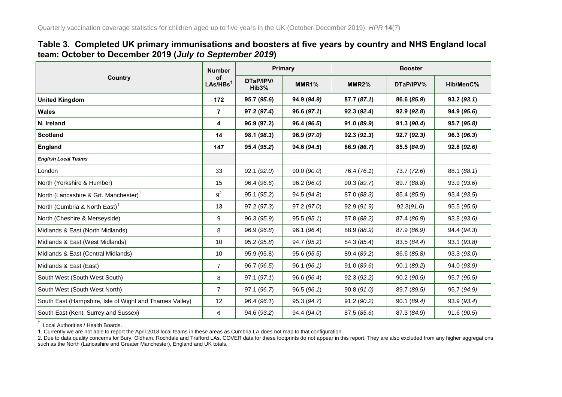#### **Table 3. Completed UK primary immunisations and boosters at five years by country and NHS England local team: October to December 2019 (***July to September 2019***)**

|                                                         | <b>Number</b>              | <b>Primary</b>                  |             | <b>Booster</b>     |             |             |
|---------------------------------------------------------|----------------------------|---------------------------------|-------------|--------------------|-------------|-------------|
| Country                                                 | of<br>LAS/HBs <sup>†</sup> | DTaP/IPV/<br>Hib <sub>3</sub> % | MMR1%       | MMR <sub>2</sub> % | DTaP/IPV%   | Hib/MenC%   |
| <b>United Kingdom</b>                                   | 172                        | 95.7 (95.6)                     | 94.9 (94.9) | 87.7(87.1)         | 86.6 (85.9) | 93.2(93.1)  |
| <b>Wales</b>                                            | $\overline{7}$             | 97.2 (97.4)                     | 96.6(97.1)  | 92.3(92.4)         | 92.9(92.8)  | 94.9 (95.6) |
| N. Ireland                                              | 4                          | 96.9 (97.2)                     | 96.4 (96.5) | 91.0 (89.9)        | 91.3 (90.4) | 95.7 (95.8) |
| Scotland                                                | 14                         | 98.1 (98.1)                     | 96.9 (97.0) | 92.3(91.3)         | 92.7 (92.3) | 96.3 (96.3) |
| England                                                 | 147                        | 95.4 (95.2)                     | 94.6 (94.5) | 86.9 (86.7)        | 85.5 (84.9) | 92.8 (92.6) |
| <b>English Local Teams</b>                              |                            |                                 |             |                    |             |             |
| London                                                  | 33                         | 92.1 (92.0)                     | 90.0 (90.0) | 76.4 (76.1)        | 73.7 (72.6) | 88.1 (88.1) |
| North (Yorkshire & Humber)                              | 15                         | 96.4 (96.6)                     | 96.2 (96.0) | 90.3(89.7)         | 89.7 (88.8) | 93.9(93.6)  |
| North (Lancashire & Grt. Manchester) <sup>1</sup>       | 9 <sup>2</sup>             | 95.1 (95.2)                     | 94.5 (94.8) | 87.0 (88.3)        | 85.4 (85.9) | 93.4 (93.5) |
| North (Cumbria & North East) <sup>1</sup>               | 13                         | 97.2 (97.3)                     | 97.2 (97.0) | 92.9 (91.9)        | 92.3(91.6)  | 95.5 (95.5) |
| North (Cheshire & Merseyside)                           | 9                          | 96.3 (95.9)                     | 95.5(95.1)  | 87.8 (88.2)        | 87.4 (86.9) | 93.8 (93.6) |
| Midlands & East (North Midlands)                        | 8                          | 96.9 (96.8)                     | 96.1 (96.4) | 88.9 (88.9)        | 87.9 (86.9) | 94.4 (94.3) |
| Midlands & East (West Midlands)                         | 10                         | 95.2 (95.8)                     | 94.7 (95.2) | 84.3 (85.4)        | 83.5 (84.4) | 93.1 (93.8) |
| Midlands & East (Central Midlands)                      | 10                         | 95.9 (95.8)                     | 95.6 (95.5) | 89.4 (89.2)        | 86.6 (85.8) | 93.3(93.0)  |
| Midlands & East (East)                                  | $\overline{7}$             | 96.7 (96.5)                     | 96.1 (96.1) | 91.0(89.6)         | 90.1 (89.2) | 94.0 (93.9) |
| South West (South West South)                           | 8                          | 97.1(97.1)                      | 96.6 (96.4) | 92.3(92.2)         | 90.2(90.5)  | 95.7 (95.5) |
| South West (South West North)                           | $\overline{7}$             | 97.1 (96.7)                     | 96.5(96.1)  | 90.8(91.0)         | 89.7 (89.5) | 95.7 (94.9) |
| South East (Hampshire, Isle of Wight and Thames Valley) | 12                         | 96.4 (96.1)                     | 95.3 (94.7) | 91.2(90.2)         | 90.1 (89.4) | 93.9 (93.4) |
| South East (Kent, Surrey and Sussex)                    | 6                          | 94.6 (93.2)                     | 94.4 (94.0) | 87.5 (85.6)        | 87.3 (84.9) | 91.6 (90.5) |

† Local Authorities / Health Boards.

1. Currently we are not able to report the April 2018 local teams in these areas as Cumbria LA does not map to that configuration.

2. Due to data quality concerns for Bury, Oldham, Rochdale and Trafford LAs, COVER data for these footprints do not appear in this report. They are also excluded from any higher aggregations such as the North (Lancashire and Greater Manchester), England and UK totals.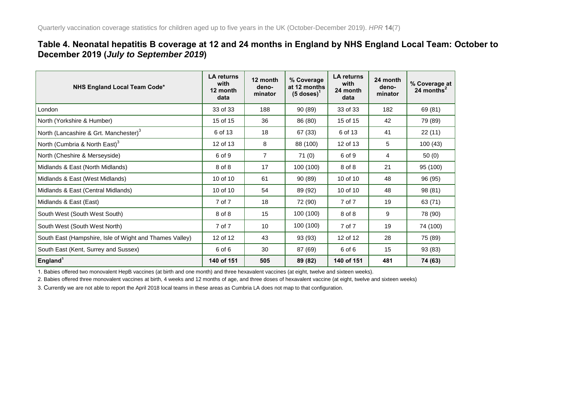#### **Table 4. Neonatal hepatitis B coverage at 12 and 24 months in England by NHS England Local Team: October to December 2019 (***July to September 2019***)**

| <b>NHS England Local Team Code*</b>                     | <b>LA returns</b><br>with<br>12 month<br>data | 12 month<br>deno-<br>minator | % Coverage<br>at 12 months<br>$(5 \text{ doses})^1$ | <b>LA returns</b><br>with<br>24 month<br>data | 24 month<br>deno-<br>minator | % Coverage at<br>24 months $^2$ |
|---------------------------------------------------------|-----------------------------------------------|------------------------------|-----------------------------------------------------|-----------------------------------------------|------------------------------|---------------------------------|
| London                                                  | 33 of 33                                      | 188                          | 90 (89)                                             | 33 of 33                                      | 182                          | 69 (81)                         |
| North (Yorkshire & Humber)                              | 15 of 15                                      | 36                           | 86 (80)                                             | 15 of 15                                      | 42                           | 79 (89)                         |
| North (Lancashire & Grt. Manchester) <sup>3</sup>       | 6 of 13                                       | 18                           | 67 (33)                                             | 6 of 13                                       | 41                           | 22(11)                          |
| North (Cumbria & North East) <sup>3</sup>               | 12 of 13                                      | 8                            | 88 (100)                                            | 12 of 13                                      | 5                            | 100(43)                         |
| North (Cheshire & Merseyside)                           | 6 of 9                                        | $\overline{7}$               | 71(0)                                               | 6 of 9                                        | 4                            | 50(0)                           |
| Midlands & East (North Midlands)                        | 8 of 8                                        | 17                           | 100 (100)                                           | 8 of 8                                        | 21                           | 95 (100)                        |
| Midlands & East (West Midlands)                         | 10 of 10                                      | 61                           | 90 (89)                                             | 10 of 10                                      | 48                           | 96 (95)                         |
| Midlands & East (Central Midlands)                      | 10 of 10                                      | 54                           | 89 (92)                                             | 10 of 10                                      | 48                           | 98 (81)                         |
| Midlands & East (East)                                  | 7 of 7                                        | 18                           | 72 (90)                                             | 7 of 7                                        | 19                           | 63 (71)                         |
| South West (South West South)                           | 8 of 8                                        | 15                           | 100 (100)                                           | 8 of 8                                        | 9                            | 78 (90)                         |
| South West (South West North)                           | 7 of 7                                        | 10                           | 100 (100)                                           | 7 of 7                                        | 19                           | 74 (100)                        |
| South East (Hampshire, Isle of Wight and Thames Valley) | 12 of 12                                      | 43                           | 93 (93)                                             | 12 of 12                                      | 28                           | 75 (89)                         |
| South East (Kent, Surrey and Sussex)                    | 6 of 6                                        | 30                           | 87 (69)                                             | 6 of 6                                        | 15                           | 93 (83)                         |
| England <sup>1</sup>                                    | 140 of 151                                    | 505                          | 89 (82)                                             | 140 of 151                                    | 481                          | 74 (63)                         |

1. Babies offered two monovalent HepB vaccines (at birth and one month) and three hexavalent vaccines (at eight, twelve and sixteen weeks).

2. Babies offered three monovalent vaccines at birth, 4 weeks and 12 months of age, and three doses of hexavalent vaccine (at eight, twelve and sixteen weeks)

3. Currently we are not able to report the April 2018 local teams in these areas as Cumbria LA does not map to that configuration.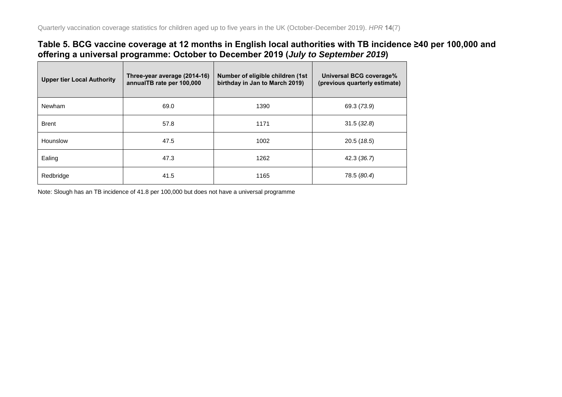#### **Table 5. BCG vaccine coverage at 12 months in English local authorities with TB incidence ≥40 per 100,000 and offering a universal programme: October to December 2019 (***July to September 2019***)**

| <b>Upper tier Local Authority</b> | Three-year average (2014-16)<br>annualTB rate per 100,000 | Number of eligible children (1st)<br>birthday in Jan to March 2019) | Universal BCG coverage%<br>(previous quarterly estimate) |
|-----------------------------------|-----------------------------------------------------------|---------------------------------------------------------------------|----------------------------------------------------------|
| Newham                            | 69.0                                                      | 1390                                                                | 69.3 (73.9)                                              |
| <b>Brent</b>                      | 57.8                                                      | 1171                                                                | 31.5(32.8)                                               |
| Hounslow                          | 47.5                                                      | 1002                                                                | 20.5(18.5)                                               |
| Ealing                            | 47.3                                                      | 1262                                                                | 42.3 (36.7)                                              |
| Redbridge                         | 41.5                                                      | 1165                                                                | 78.5 (80.4)                                              |

Note: Slough has an TB incidence of 41.8 per 100,000 but does not have a universal programme